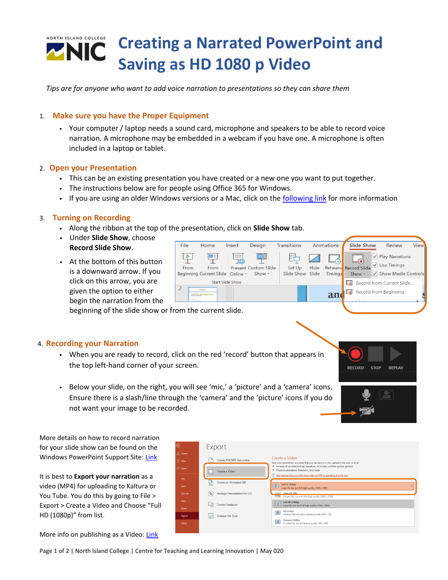# NORTH ISLAND COLLEGE **Creating a Narrated PowerPoint and TNIC Saving as HD 1080 p Video**

*Tips are for anyone who want to add voice narration to presentations so they can share them*

### 1. **Make sure you have the Proper Equipment**

• Your computer / laptop needs a sound card, microphone and speakers to be able to record voice narration. A microphone may be embedded in a webcam if you have one. A microphone is often included in a laptop or tablet.

### 2. **Open your Presentation**

- This can be an existing presentation you have created or a new one you want to put together.
- The instructions below are for people using Office 365 for Windows.
- If you are using an older Windows versions or a Mac, click on the [following link](https://support.office.com/en-us/article/record-a-slide-show-with-narration-and-slide-timings-0b9502c6-5f6c-40ae-b1e7-e47d8741161c#OfficeVersion=Office_365) for more information

### 3. **Turning on Recording**

- Along the ribbon at the top of the presentation, click on **Slide Show** tab.
- Under **Slide Show**, choose **Record Slide Show**.
- At the bottom of this button is a downward arrow. If you click on this arrow, you are given the option to either begin the narration from the



**STOP** 

**REPLAY** 

**RECORD** 

beginning of the slide show or from the current slide.

### 4. **Recording your Narration**

- When you are ready to record, click on the red 'record' button that appears in the top left-hand corner of your screen.
- Below your slide, on the right, you will see 'mic,' a 'picture' and a 'camera' icons. Ensure there is a slash/line through the 'camera' and the 'picture' icons if you do not want your image to be recorded.

More details on how to record narration for your slide show can be found on the Windows PowerPoint Support Site: [Link](https://support.office.com/en-us/article/record-a-slide-show-with-narration-and-slide-timings-0b9502c6-5f6c-40ae-b1e7-e47d8741161c)

It is best to **Export your narration** as a video (MP4) for uploading to Kaltura or You Tube. You do this by going to File > Export > Create a Video and Choose "Full HD (1080p)" from list.

More info on publishing as a Video: [Link](https://support.office.com/en-us/article/turn-your-presentation-into-a-video-c140551f-cb37-4818-b5d4-3e30815c3e83)



Page 1 of 2 | North Island College | Centre for Teaching and Learning Innovation | May 020